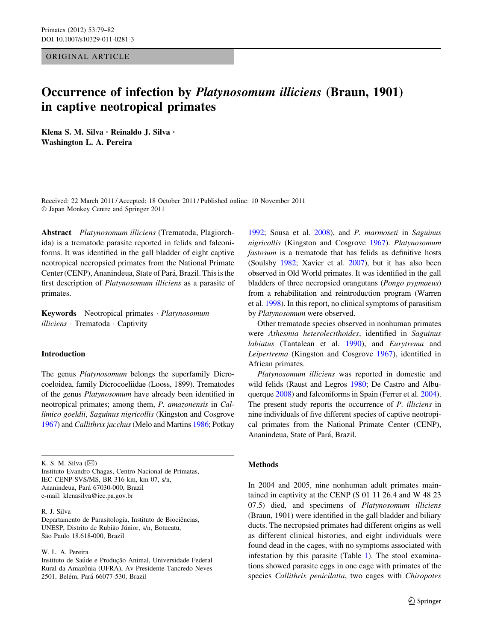## ORIGINAL ARTICLE

# Occurrence of infection by Platynosomum illiciens (Braun, 1901) in captive neotropical primates

Klena S. M. Silva • Reinaldo J. Silva • Washington L. A. Pereira

Received: 22 March 2011 / Accepted: 18 October 2011 / Published online: 10 November 2011 - Japan Monkey Centre and Springer 2011

Abstract Platynosomum illiciens (Trematoda, Plagiorchida) is a trematode parasite reported in felids and falconiforms. It was identified in the gall bladder of eight captive neotropical necropsied primates from the National Primate Center (CENP), Ananindeua, State of Para´, Brazil. This is the first description of Platynosomum illiciens as a parasite of primates.

Keywords Neotropical primates · Platynosomum illiciens · Trematoda · Captivity

### Introduction

The genus Platynosomum belongs the superfamily Dicrocoeloidea, family Dicrocoeliidae (Looss, 1899). Trematodes of the genus Platynosomum have already been identified in neotropical primates; among them, P. amazonensis in Callimico goeldii, Saguinus nigricollis (Kingston and Cosgrove [1967\)](#page-3-0) and Callithrix jacchus(Melo and Martins [1986](#page-3-0); Potkay

K. S. M. Silva  $(\boxtimes)$ 

Instituto Evandro Chagas, Centro Nacional de Primatas, IEC-CENP-SVS/MS, BR 316 km, km 07, s/n, Ananindeua, Para´ 67030-000, Brazil e-mail: klenasilva@iec.pa.gov.br

#### R. J. Silva

Departamento de Parasitologia, Instituto de Biociências, UNESP, Distrito de Rubião Júnior, s/n, Botucatu, São Paulo 18.618-000, Brazil

W. L. A. Pereira

Instituto de Saúde e Produção Animal, Universidade Federal Rural da Amazônia (UFRA), Av Presidente Tancredo Neves 2501, Belém, Pará 66077-530, Brazil

[1992;](#page-3-0) Sousa et al. [2008](#page-3-0)), and P. marmoseti in Saguinus nigricollis (Kingston and Cosgrove [1967\)](#page-3-0). Platynosomum fastosum is a trematode that has felids as definitive hosts (Soulsby [1982](#page-3-0); Xavier et al. [2007\)](#page-3-0), but it has also been observed in Old World primates. It was identified in the gall bladders of three necropsied orangutans (Pongo pygmaeus) from a rehabilitation and reintroduction program (Warren et al. [1998\)](#page-3-0). In this report, no clinical symptoms of parasitism by Platynosomum were observed.

Other trematode species observed in nonhuman primates were Athesmia heterolecithoides, identified in Saguinus labiatus (Tantalean et al. [1990\)](#page-3-0), and Eurytrema and Leipertrema (Kingston and Cosgrove [1967\)](#page-3-0), identified in African primates.

Platynosomum illiciens was reported in domestic and wild felids (Raust and Legros [1980;](#page-3-0) De Castro and Albuquerque [2008\)](#page-3-0) and falconiforms in Spain (Ferrer et al. [2004\)](#page-3-0). The present study reports the occurrence of *P. illiciens* in nine individuals of five different species of captive neotropical primates from the National Primate Center (CENP), Ananindeua, State of Pará, Brazil.

# Methods

In 2004 and 2005, nine nonhuman adult primates maintained in captivity at the CENP (S 01 11 26.4 and W 48 23 07.5) died, and specimens of Platynosomum illiciens (Braun, 1901) were identified in the gall bladder and biliary ducts. The necropsied primates had different origins as well as different clinical histories, and eight individuals were found dead in the cages, with no symptoms associated with infestation by this parasite (Table [1](#page-1-0)). The stool examinations showed parasite eggs in one cage with primates of the species Callithrix penicilatta, two cages with Chiropotes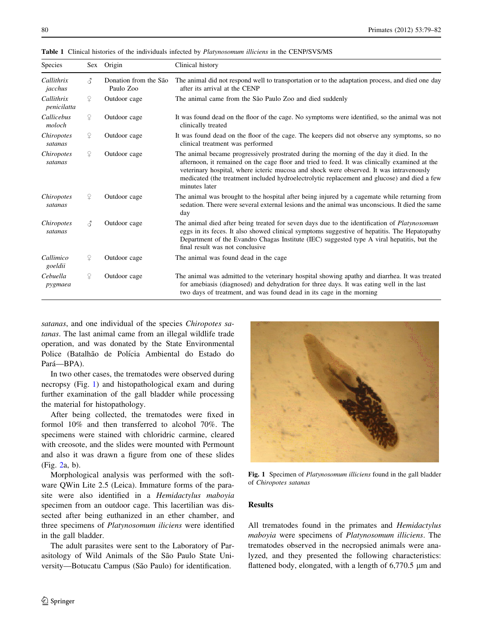| Species                      |    | Sex Origin                         | Clinical history                                                                                                                                                                                                                                                                                                                                                                                     |
|------------------------------|----|------------------------------------|------------------------------------------------------------------------------------------------------------------------------------------------------------------------------------------------------------------------------------------------------------------------------------------------------------------------------------------------------------------------------------------------------|
| Callithrix<br>jacchus        | ₹  | Donation from the São<br>Paulo Zoo | The animal did not respond well to transportation or to the adaptation process, and died one day<br>after its arrival at the CENP                                                                                                                                                                                                                                                                    |
| Callithrix<br>penicilatta    | ¥  | Outdoor cage                       | The animal came from the São Paulo Zoo and died suddenly                                                                                                                                                                                                                                                                                                                                             |
| Callicebus<br>moloch         | ¥  | Outdoor cage                       | It was found dead on the floor of the cage. No symptoms were identified, so the animal was not<br>clinically treated                                                                                                                                                                                                                                                                                 |
| <i>Chiropotes</i><br>satanas | ¥  | Outdoor cage                       | It was found dead on the floor of the cage. The keepers did not observe any symptoms, so no<br>clinical treatment was performed                                                                                                                                                                                                                                                                      |
| <i>Chiropotes</i><br>satanas | ¥. | Outdoor cage                       | The animal became progressively prostrated during the morning of the day it died. In the<br>afternoon, it remained on the cage floor and tried to feed. It was clinically examined at the<br>veterinary hospital, where icteric mucosa and shock were observed. It was intravenously<br>medicated (the treatment included hydroelectrolytic replacement and glucose) and died a few<br>minutes later |
| <i>Chiropotes</i><br>satanas | ¥  | Outdoor cage                       | The animal was brought to the hospital after being injured by a cagemate while returning from<br>sedation. There were several external lesions and the animal was unconscious. It died the same<br>day                                                                                                                                                                                               |
| <i>Chiropotes</i><br>satanas | ₫  | Outdoor cage                       | The animal died after being treated for seven days due to the identification of Platynosomum<br>eggs in its feces. It also showed clinical symptoms suggestive of hepatitis. The Hepatopathy<br>Department of the Evandro Chagas Institute (IEC) suggested type A viral hepatitis, but the<br>final result was not conclusive                                                                        |
| Callimico<br>goeldii         | ¥  | Outdoor cage                       | The animal was found dead in the cage                                                                                                                                                                                                                                                                                                                                                                |
| Cebuella<br>pygmaea          | ¥  | Outdoor cage                       | The animal was admitted to the veterinary hospital showing apathy and diarrhea. It was treated<br>for amebiasis (diagnosed) and dehydration for three days. It was eating well in the last<br>two days of treatment, and was found dead in its cage in the morning                                                                                                                                   |

<span id="page-1-0"></span>Table 1 Clinical histories of the individuals infected by Platynosomum illiciens in the CENP/SVS/MS

satanas, and one individual of the species *Chiropotes sa*tanas. The last animal came from an illegal wildlife trade operation, and was donated by the State Environmental Police (Batalhão de Polícia Ambiental do Estado do Pará-BPA).

In two other cases, the trematodes were observed during necropsy (Fig. 1) and histopathological exam and during further examination of the gall bladder while processing the material for histopathology.

After being collected, the trematodes were fixed in formol 10% and then transferred to alcohol 70%. The specimens were stained with chloridric carmine, cleared with creosote, and the slides were mounted with Permount and also it was drawn a figure from one of these slides (Fig. [2](#page-2-0)a, b).

Morphological analysis was performed with the software QWin Lite 2.5 (Leica). Immature forms of the parasite were also identified in a Hemidactylus maboyia specimen from an outdoor cage. This lacertilian was dissected after being euthanized in an ether chamber, and three specimens of Platynosomum iliciens were identified in the gall bladder.

The adult parasites were sent to the Laboratory of Parasitology of Wild Animals of the São Paulo State University-Botucatu Campus (São Paulo) for identification.



Fig. 1 Specimen of *Platynosomum illiciens* found in the gall bladder of Chiropotes satanas

## Results

All trematodes found in the primates and Hemidactylus maboyia were specimens of Platynosomum illiciens. The trematodes observed in the necropsied animals were analyzed, and they presented the following characteristics: flattened body, elongated, with a length of  $6,770.5 \mu m$  and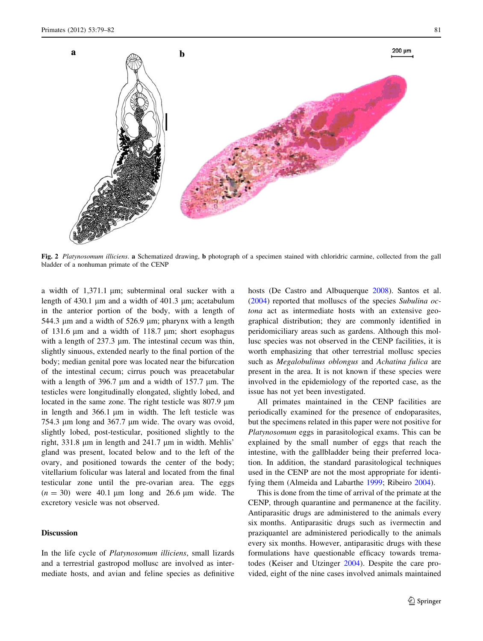<span id="page-2-0"></span>

Fig. 2 Platynosomum illiciens. a Schematized drawing, b photograph of a specimen stained with chloridric carmine, collected from the gall bladder of a nonhuman primate of the CENP

a width of  $1,371.1 \text{ }\mu\text{m}$ ; subterminal oral sucker with a length of 430.1  $\mu$ m and a width of 401.3  $\mu$ m; acetabulum in the anterior portion of the body, with a length of 544.3  $\mu$ m and a width of 526.9  $\mu$ m; pharynx with a length of 131.6  $\mu$ m and a width of 118.7  $\mu$ m; short esophagus with a length of 237.3 µm. The intestinal cecum was thin, slightly sinuous, extended nearly to the final portion of the body; median genital pore was located near the bifurcation of the intestinal cecum; cirrus pouch was preacetabular with a length of  $396.7 \mu m$  and a width of 157.7  $\mu m$ . The testicles were longitudinally elongated, slightly lobed, and located in the same zone. The right testicle was 807.9 µm in length and 366.1 µm in width. The left testicle was 754.3 µm long and 367.7 µm wide. The ovary was ovoid, slightly lobed, post-testicular, positioned slightly to the right,  $331.8 \mu m$  in length and  $241.7 \mu m$  in width. Mehlis' gland was present, located below and to the left of the ovary, and positioned towards the center of the body; vitellarium folicular was lateral and located from the final testicular zone until the pre-ovarian area. The eggs  $(n = 30)$  were 40.1 µm long and 26.6 µm wide. The excretory vesicle was not observed.

## Discussion

In the life cycle of Platynosomum illiciens, small lizards and a terrestrial gastropod mollusc are involved as intermediate hosts, and avian and feline species as definitive hosts (De Castro and Albuquerque [2008\)](#page-3-0). Santos et al. [\(2004](#page-3-0)) reported that molluscs of the species Subulina octona act as intermediate hosts with an extensive geographical distribution; they are commonly identified in peridomiciliary areas such as gardens. Although this mollusc species was not observed in the CENP facilities, it is worth emphasizing that other terrestrial mollusc species such as Megalobulinus oblongus and Achatina fulica are present in the area. It is not known if these species were involved in the epidemiology of the reported case, as the issue has not yet been investigated.

All primates maintained in the CENP facilities are periodically examined for the presence of endoparasites, but the specimens related in this paper were not positive for Platynosomum eggs in parasitological exams. This can be explained by the small number of eggs that reach the intestine, with the gallbladder being their preferred location. In addition, the standard parasitological techniques used in the CENP are not the most appropriate for identifying them (Almeida and Labarthe [1999;](#page-3-0) Ribeiro [2004](#page-3-0)).

This is done from the time of arrival of the primate at the CENP, through quarantine and permanence at the facility. Antiparasitic drugs are administered to the animals every six months. Antiparasitic drugs such as ivermectin and praziquantel are administered periodically to the animals every six months. However, antiparasitic drugs with these formulations have questionable efficacy towards trematodes (Keiser and Utzinger [2004](#page-3-0)). Despite the care provided, eight of the nine cases involved animals maintained